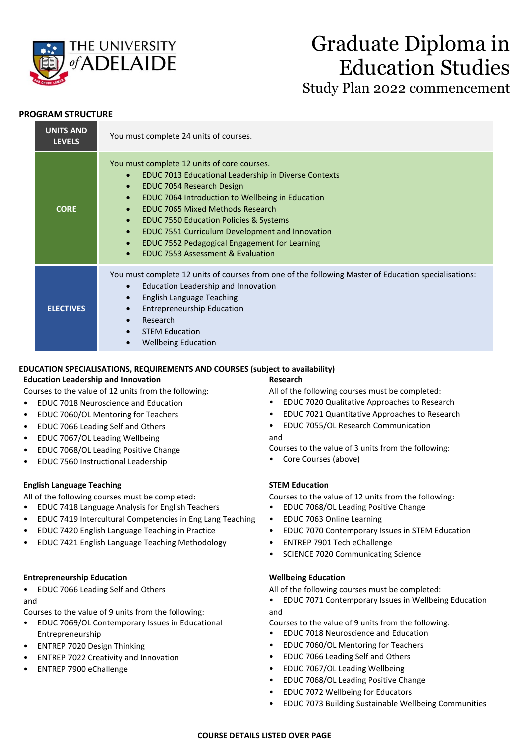

# Graduate Diploma in Education Studies Study Plan 2022 commencement

# **PROGRAM STRUCTURE**

| <b>UNITS AND</b><br><b>LEVELS</b> | You must complete 24 units of courses.                                                                                                                                                                                                                                                                                                                                                                                                                                                                                                           |
|-----------------------------------|--------------------------------------------------------------------------------------------------------------------------------------------------------------------------------------------------------------------------------------------------------------------------------------------------------------------------------------------------------------------------------------------------------------------------------------------------------------------------------------------------------------------------------------------------|
| <b>CORE</b>                       | You must complete 12 units of core courses.<br>EDUC 7013 Educational Leadership in Diverse Contexts<br>$\bullet$<br>EDUC 7054 Research Design<br>$\bullet$<br>EDUC 7064 Introduction to Wellbeing in Education<br>$\bullet$<br><b>EDUC 7065 Mixed Methods Research</b><br>$\bullet$<br><b>EDUC 7550 Education Policies &amp; Systems</b><br>$\bullet$<br>EDUC 7551 Curriculum Development and Innovation<br>$\bullet$<br>EDUC 7552 Pedagogical Engagement for Learning<br>$\bullet$<br><b>EDUC 7553 Assessment &amp; Evaluation</b><br>$\bullet$ |
| <b>ELECTIVES</b>                  | You must complete 12 units of courses from one of the following Master of Education specialisations:<br>Education Leadership and Innovation<br>$\bullet$<br>English Language Teaching<br>$\bullet$<br><b>Entrepreneurship Education</b><br>$\bullet$<br>Research<br>$\bullet$<br><b>STEM Education</b><br>$\bullet$<br><b>Wellbeing Education</b><br>$\bullet$                                                                                                                                                                                   |

# **EDUCATION SPECIALISATIONS, REQUIREMENTS AND COURSES (subject to availability)**

# **Education Leadership and Innovation**

Courses to the value of 12 units from the following:

- EDUC 7018 Neuroscience and Education
- EDUC 7060/OL Mentoring for Teachers
- EDUC 7066 Leading Self and Others
- EDUC 7067/OL Leading Wellbeing
- EDUC 7068/OL Leading Positive Change
- EDUC 7560 Instructional Leadership

# **English Language Teaching**

All of the following courses must be completed:

- EDUC 7418 Language Analysis for English Teachers
- EDUC 7419 Intercultural Competencies in Eng Lang Teaching
- EDUC 7420 English Language Teaching in Practice
- EDUC 7421 English Language Teaching Methodology

# **Entrepreneurship Education**

• EDUC 7066 Leading Self and Others

and

Courses to the value of 9 units from the following:

- EDUC 7069/OL Contemporary Issues in Educational Entrepreneurship
- ENTREP 7020 Design Thinking
- ENTREP 7022 Creativity and Innovation
- ENTREP 7900 eChallenge

# **Research**

All of the following courses must be completed:

- EDUC 7020 Qualitative Approaches to Research
- EDUC 7021 Quantitative Approaches to Research
- EDUC 7055/OL Research Communication

#### and

Courses to the value of 3 units from the following:

• Core Courses (above)

# **STEM Education**

Courses to the value of 12 units from the following:

- EDUC 7068/OL Leading Positive Change
- EDUC 7063 Online Learning
- EDUC 7070 Contemporary Issues in STEM Education
- ENTREP 7901 Tech eChallenge
- SCIENCE 7020 Communicating Science

# **Wellbeing Education**

All of the following courses must be completed:

• EDUC 7071 Contemporary Issues in Wellbeing Education and

Courses to the value of 9 units from the following:

- EDUC 7018 Neuroscience and Education
- EDUC 7060/OL Mentoring for Teachers
- EDUC 7066 Leading Self and Others
- EDUC 7067/OL Leading Wellbeing
- EDUC 7068/OL Leading Positive Change
- EDUC 7072 Wellbeing for Educators
- EDUC 7073 Building Sustainable Wellbeing Communities